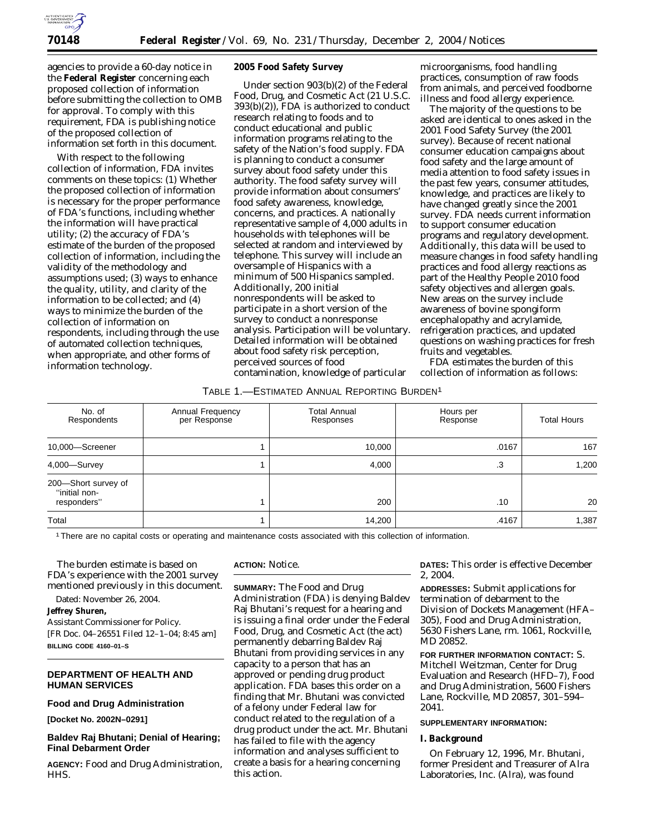

agencies to provide a 60-day notice in the **Federal Register** concerning each proposed collection of information before submitting the collection to OMB for approval. To comply with this requirement, FDA is publishing notice of the proposed collection of information set forth in this document.

With respect to the following collection of information, FDA invites comments on these topics: (1) Whether the proposed collection of information is necessary for the proper performance of FDA's functions, including whether the information will have practical utility; (2) the accuracy of FDA's estimate of the burden of the proposed collection of information, including the validity of the methodology and assumptions used; (3) ways to enhance the quality, utility, and clarity of the information to be collected; and (4) ways to minimize the burden of the collection of information on respondents, including through the use of automated collection techniques, when appropriate, and other forms of information technology.

### **2005 Food Safety Survey**

Under section 903(b)(2) of the Federal Food, Drug, and Cosmetic Act (21 U.S.C. 393(b)(2)), FDA is authorized to conduct research relating to foods and to conduct educational and public information programs relating to the safety of the Nation's food supply. FDA is planning to conduct a consumer survey about food safety under this authority. The food safety survey will provide information about consumers' food safety awareness, knowledge, concerns, and practices. A nationally representative sample of 4,000 adults in households with telephones will be selected at random and interviewed by telephone. This survey will include an oversample of Hispanics with a minimum of 500 Hispanics sampled. Additionally, 200 initial nonrespondents will be asked to participate in a short version of the survey to conduct a nonresponse analysis. Participation will be voluntary. Detailed information will be obtained about food safety risk perception, perceived sources of food contamination, knowledge of particular

microorganisms, food handling practices, consumption of raw foods from animals, and perceived foodborne illness and food allergy experience.

The majority of the questions to be asked are identical to ones asked in the 2001 Food Safety Survey (the 2001 survey). Because of recent national consumer education campaigns about food safety and the large amount of media attention to food safety issues in the past few years, consumer attitudes, knowledge, and practices are likely to have changed greatly since the 2001 survey. FDA needs current information to support consumer education programs and regulatory development. Additionally, this data will be used to measure changes in food safety handling practices and food allergy reactions as part of the Healthy People 2010 food safety objectives and allergen goals. New areas on the survey include awareness of bovine spongiform encephalopathy and acrylamide, refrigeration practices, and updated questions on washing practices for fresh fruits and vegetables.

FDA estimates the burden of this collection of information as follows:

#### TABLE 1.—ESTIMATED ANNUAL REPORTING BURDEN1

| No. of<br>Respondents                               | Annual Frequency<br>per Response | Total Annual<br>Responses | Hours per<br>Response | <b>Total Hours</b> |
|-----------------------------------------------------|----------------------------------|---------------------------|-----------------------|--------------------|
| 10,000-Screener                                     |                                  | 10,000                    | .0167                 | 167                |
| 4,000-Survey                                        |                                  | 4,000                     | .3                    | 1,200              |
| 200-Short survey of<br>"initial non-<br>responders" |                                  | 200                       | .10                   | 20                 |
| Total                                               |                                  | 14,200                    | .4167                 | 1,387              |

1There are no capital costs or operating and maintenance costs associated with this collection of information.

The burden estimate is based on FDA's experience with the 2001 survey mentioned previously in this document.

Dated: November 26, 2004.

**Jeffrey Shuren,**

*Assistant Commissioner for Policy.* [FR Doc. 04–26551 Filed 12–1–04; 8:45 am] **BILLING CODE 4160–01–S**

# **DEPARTMENT OF HEALTH AND HUMAN SERVICES**

## **Food and Drug Administration**

**[Docket No. 2002N–0291]**

# **Baldev Raj Bhutani; Denial of Hearing; Final Debarment Order**

**AGENCY:** Food and Drug Administration, HHS.

**ACTION:** Notice.

**SUMMARY:** The Food and Drug Administration (FDA) is denying Baldev Raj Bhutani's request for a hearing and is issuing a final order under the Federal Food, Drug, and Cosmetic Act (the act) permanently debarring Baldev Raj Bhutani from providing services in any capacity to a person that has an approved or pending drug product application. FDA bases this order on a finding that Mr. Bhutani was convicted of a felony under Federal law for conduct related to the regulation of a drug product under the act. Mr. Bhutani has failed to file with the agency information and analyses sufficient to create a basis for a hearing concerning this action.

**DATES:** This order is effective December 2, 2004.

**ADDRESSES:** Submit applications for termination of debarment to the Division of Dockets Management (HFA– 305), Food and Drug Administration, 5630 Fishers Lane, rm. 1061, Rockville, MD 20852.

**FOR FURTHER INFORMATION CONTACT:** S. Mitchell Weitzman, Center for Drug Evaluation and Research (HFD–7), Food and Drug Administration, 5600 Fishers Lane, Rockville, MD 20857, 301–594– 2041.

# **SUPPLEMENTARY INFORMATION:**

#### **I. Background**

On February 12, 1996, Mr. Bhutani, former President and Treasurer of Alra Laboratories, Inc. (Alra), was found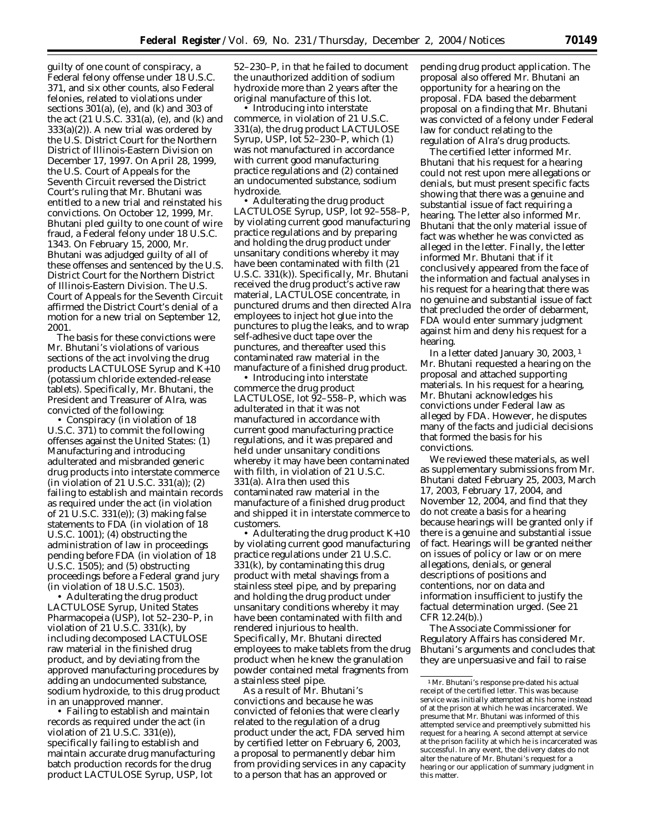guilty of one count of conspiracy, a Federal felony offense under 18 U.S.C. 371, and six other counts, also Federal felonies, related to violations under sections  $301(a)$ , (e), and (k) and  $303$  of the act (21 U.S.C. 331(a), (e), and (k) and 333(a)(2)). A new trial was ordered by the U.S. District Court for the Northern District of Illinois-Eastern Division on December 17, 1997. On April 28, 1999, the U.S. Court of Appeals for the Seventh Circuit reversed the District Court's ruling that Mr. Bhutani was entitled to a new trial and reinstated his convictions. On October 12, 1999, Mr. Bhutani pled guilty to one count of wire fraud, a Federal felony under 18 U.S.C. 1343. On February 15, 2000, Mr. Bhutani was adjudged guilty of all of these offenses and sentenced by the U.S. District Court for the Northern District of Illinois-Eastern Division. The U.S. Court of Appeals for the Seventh Circuit affirmed the District Court's denial of a motion for a new trial on September 12, 2001.

The basis for these convictions were Mr. Bhutani's violations of various sections of the act involving the drug products LACTULOSE Syrup and K+10 (potassium chloride extended-release tablets). Specifically, Mr. Bhutani, the President and Treasurer of Alra, was convicted of the following:

• Conspiracy (in violation of 18 U.S.C. 371) to commit the following offenses against the United States: (1) Manufacturing and introducing adulterated and misbranded generic drug products into interstate commerce (in violation of 21 U.S.C. 331(a)); (2) failing to establish and maintain records as required under the act (in violation of 21 U.S.C. 331(e)); (3) making false statements to FDA (in violation of 18 U.S.C. 1001); (4) obstructing the administration of law in proceedings pending before FDA (in violation of 18 U.S.C. 1505); and (5) obstructing proceedings before a Federal grand jury (in violation of 18 U.S.C. 1503).

• Adulterating the drug product LACTULOSE Syrup, United States Pharmacopeia (USP), lot 52–230–P, in violation of 21 U.S.C. 331(k), by including decomposed LACTULOSE raw material in the finished drug product, and by deviating from the approved manufacturing procedures by adding an undocumented substance, sodium hydroxide, to this drug product in an unapproved manner.

• Failing to establish and maintain records as required under the act (in violation of 21 U.S.C. 331(e)), specifically failing to establish and maintain accurate drug manufacturing batch production records for the drug product LACTULOSE Syrup, USP, lot

52–230–P, in that he failed to document the unauthorized addition of sodium hydroxide more than 2 years after the original manufacture of this lot.

• Introducing into interstate commerce, in violation of 21 U.S.C. 331(a), the drug product LACTULOSE Syrup, USP, lot 52–230–P, which (1) was not manufactured in accordance with current good manufacturing practice regulations and (2) contained an undocumented substance, sodium hydroxide.

• Adulterating the drug product LACTULOSE Syrup, USP, lot 92–558–P, by violating current good manufacturing practice regulations and by preparing and holding the drug product under unsanitary conditions whereby it may have been contaminated with filth (21 U.S.C. 331(k)). Specifically, Mr. Bhutani received the drug product's active raw material, LACTULOSE concentrate, in punctured drums and then directed Alra employees to inject hot glue into the punctures to plug the leaks, and to wrap self-adhesive duct tape over the punctures, and thereafter used this contaminated raw material in the manufacture of a finished drug product.

• Introducing into interstate commerce the drug product LACTULOSE, lot 92–558–P, which was adulterated in that it was not manufactured in accordance with current good manufacturing practice regulations, and it was prepared and held under unsanitary conditions whereby it may have been contaminated with filth, in violation of 21 U.S.C. 331(a). Alra then used this contaminated raw material in the manufacture of a finished drug product and shipped it in interstate commerce to customers.

• Adulterating the drug product K+10 by violating current good manufacturing practice regulations under 21 U.S.C. 331(k), by contaminating this drug product with metal shavings from a stainless steel pipe, and by preparing and holding the drug product under unsanitary conditions whereby it may have been contaminated with filth and rendered injurious to health. Specifically, Mr. Bhutani directed employees to make tablets from the drug product when he knew the granulation powder contained metal fragments from a stainless steel pipe.

As a result of Mr. Bhutani's convictions and because he was convicted of felonies that were clearly related to the regulation of a drug product under the act, FDA served him by certified letter on February 6, 2003, a proposal to permanently debar him from providing services in any capacity to a person that has an approved or

pending drug product application. The proposal also offered Mr. Bhutani an opportunity for a hearing on the proposal. FDA based the debarment proposal on a finding that Mr. Bhutani was convicted of a felony under Federal law for conduct relating to the regulation of Alra's drug products.

The certified letter informed Mr. Bhutani that his request for a hearing could not rest upon mere allegations or denials, but must present specific facts showing that there was a genuine and substantial issue of fact requiring a hearing. The letter also informed Mr. Bhutani that the only material issue of fact was whether he was convicted as alleged in the letter. Finally, the letter informed Mr. Bhutani that if it conclusively appeared from the face of the information and factual analyses in his request for a hearing that there was no genuine and substantial issue of fact that precluded the order of debarment, FDA would enter summary judgment against him and deny his request for a hearing.

In a letter dated January 30, 2003, 1 Mr. Bhutani requested a hearing on the proposal and attached supporting materials. In his request for a hearing, Mr. Bhutani acknowledges his convictions under Federal law as alleged by FDA. However, he disputes many of the facts and judicial decisions that formed the basis for his convictions.

We reviewed these materials, as well as supplementary submissions from Mr. Bhutani dated February 25, 2003, March 17, 2003, February 17, 2004, and November 12, 2004, and find that they do not create a basis for a hearing because hearings will be granted only if there is a genuine and substantial issue of fact. Hearings will be granted neither on issues of policy or law or on mere allegations, denials, or general descriptions of positions and contentions, nor on data and information insufficient to justify the factual determination urged. (See 21 CFR 12.24(b).)

The Associate Commissioner for Regulatory Affairs has considered Mr. Bhutani's arguments and concludes that they are unpersuasive and fail to raise

<sup>1</sup>Mr. Bhutani's response pre-dated his actual receipt of the certified letter. This was because service was initially attempted at his home instead of at the prison at which he was incarcerated. We presume that Mr. Bhutani was informed of this attempted service and preemptively submitted his request for a hearing. A second attempt at service at the prison facility at which he is incarcerated was successful. In any event, the delivery dates do not alter the nature of Mr. Bhutani's request for a hearing or our application of summary judgment in this matter.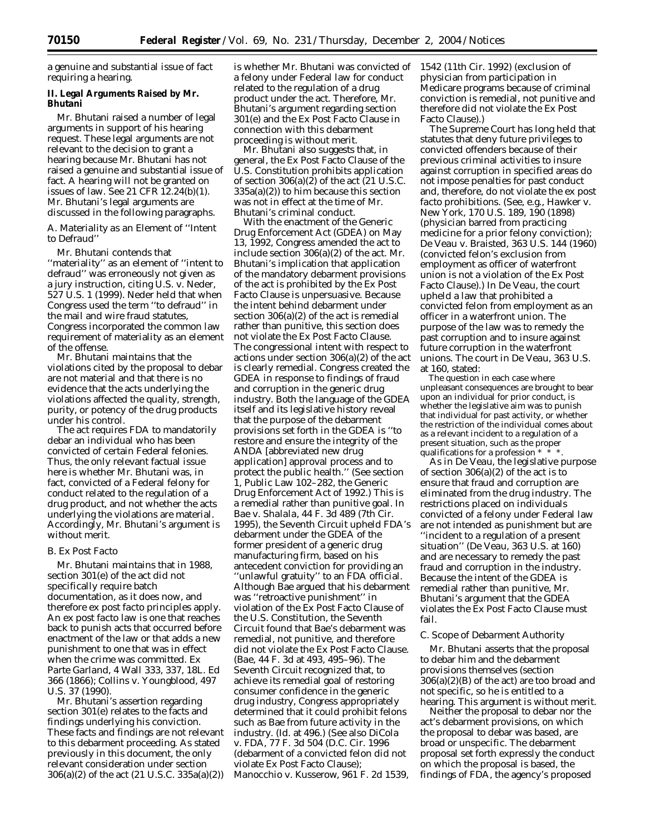a genuine and substantial issue of fact requiring a hearing.

### **II. Legal Arguments Raised by Mr. Bhutani**

Mr. Bhutani raised a number of legal arguments in support of his hearing request. These legal arguments are not relevant to the decision to grant a hearing because Mr. Bhutani has not raised a genuine and substantial issue of fact. A hearing will not be granted on issues of law. See 21 CFR 12.24(b)(1). Mr. Bhutani's legal arguments are discussed in the following paragraphs.

## *A. Materiality as an Element of ''Intent to Defraud''*

Mr. Bhutani contends that ''materiality'' as an element of ''intent to defraud'' was erroneously not given as a jury instruction, citing *U.S.* v. *Neder*, 527 U.S. 1 (1999). *Neder* held that when Congress used the term ''to defraud'' in the mail and wire fraud statutes, Congress incorporated the common law requirement of materiality as an element of the offense.

Mr. Bhutani maintains that the violations cited by the proposal to debar are not material and that there is no evidence that the acts underlying the violations affected the quality, strength, purity, or potency of the drug products under his control.

The act requires FDA to mandatorily debar an individual who has been convicted of certain Federal felonies. Thus, the only relevant factual issue here is whether Mr. Bhutani was, in fact, convicted of a Federal felony for conduct related to the regulation of a drug product, and not whether the acts underlying the violations are material. Accordingly, Mr. Bhutani's argument is without merit.

# *B. Ex Post Facto*

Mr. Bhutani maintains that in 1988, section 301(e) of the act did not specifically require batch documentation, as it does now, and therefore *ex post facto* principles apply. An *ex post facto* law is one that reaches back to punish acts that occurred before enactment of the law or that adds a new punishment to one that was in effect when the crime was committed. *Ex Parte Garland*, 4 Wall 333, 337, 18L. Ed 366 (1866); *Collins* v. *Youngblood*, 497 U.S. 37 (1990).

Mr. Bhutani's assertion regarding section 301(e) relates to the facts and findings underlying his conviction. These facts and findings are not relevant to this debarment proceeding. As stated previously in this document, the only relevant consideration under section 306(a)(2) of the act (21 U.S.C. 335a(a)(2))

is whether Mr. Bhutani was convicted of a felony under Federal law for conduct related to the regulation of a drug product under the act. Therefore, Mr. Bhutani's argument regarding section 301(e) and the Ex Post Facto Clause in connection with this debarment proceeding is without merit.

Mr. Bhutani also suggests that, in general, the Ex Post Facto Clause of the U.S. Constitution prohibits application of section  $306(a)(2)$  of the act  $(21 \text{ U.S.C.})$  $335a(a)(2)$  to him because this section was not in effect at the time of Mr. Bhutani's criminal conduct.

With the enactment of the Generic Drug Enforcement Act (GDEA) on May 13, 1992, Congress amended the act to include section 306(a)(2) of the act. Mr. Bhutani's implication that application of the mandatory debarment provisions of the act is prohibited by the Ex Post Facto Clause is unpersuasive. Because the intent behind debarment under section 306(a)(2) of the act is remedial rather than punitive, this section does not violate the Ex Post Facto Clause. The congressional intent with respect to actions under section 306(a)(2) of the act is clearly remedial. Congress created the GDEA in response to findings of fraud and corruption in the generic drug industry. Both the language of the GDEA itself and its legislative history reveal that the purpose of the debarment provisions set forth in the GDEA is ''to restore and ensure the integrity of the ANDA [abbreviated new drug application] approval process and to protect the public health.'' (See section 1, Public Law 102–282, the Generic Drug Enforcement Act of 1992.) This is a remedial rather than punitive goal. In *Bae* v. *Shalala*, 44 F. 3d 489 (7th Cir. 1995), the Seventh Circuit upheld FDA's debarment under the GDEA of the former president of a generic drug manufacturing firm, based on his antecedent conviction for providing an ''unlawful gratuity'' to an FDA official. Although Bae argued that his debarment was ''retroactive punishment'' in violation of the Ex Post Facto Clause of the U.S. Constitution, the Seventh Circuit found that Bae's debarment was remedial, not punitive, and therefore did not violate the Ex Post Facto Clause. (*Bae*, 44 F. 3d at 493, 495–96). The Seventh Circuit recognized that, to achieve its remedial goal of restoring consumer confidence in the generic drug industry, Congress appropriately determined that it could prohibit felons such as Bae from future activity in the industry. (*Id*. at 496.) (See also *DiCola* v. *FDA*, 77 F. 3d 504 (D.C. Cir. 1996 (debarment of a convicted felon did not violate Ex Post Facto Clause); *Manocchio* v. *Kusserow*, 961 F. 2d 1539,

1542 (11th Cir. 1992) (exclusion of physician from participation in Medicare programs because of criminal conviction is remedial, not punitive and therefore did not violate the Ex Post Facto Clause).)

The Supreme Court has long held that statutes that deny future privileges to convicted offenders because of their previous criminal activities to insure against corruption in specified areas do not impose penalties for past conduct and, therefore, do not violate the *ex post facto* prohibitions. (See, e.g., *Hawker* v. *New York*, 170 U.S. 189, 190 (1898) (physician barred from practicing medicine for a prior felony conviction); *De Veau* v. *Braisted*, 363 U.S. 144 (1960) (convicted felon's exclusion from employment as officer of waterfront union is not a violation of the Ex Post Facto Clause).) In *De Veau*, the court upheld a law that prohibited a convicted felon from employment as an officer in a waterfront union. The purpose of the law was to remedy the past corruption and to insure against future corruption in the waterfront unions. The court in *De Veau*, 363 U.S. at 160, stated:

The question in each case where unpleasant consequences are brought to bear upon an individual for prior conduct, is whether the legislative aim was to punish that individual for past activity, or whether the restriction of the individual comes about as a relevant incident to a regulation of a present situation, such as the proper qualifications for a profession \* \* \*.

As in *De Veau*, the legislative purpose of section 306(a)(2) of the act is to ensure that fraud and corruption are eliminated from the drug industry. The restrictions placed on individuals convicted of a felony under Federal law are not intended as punishment but are ''incident to a regulation of a present situation'' (*De Veau*, 363 U.S. at 160) and are necessary to remedy the past fraud and corruption in the industry. Because the intent of the GDEA is remedial rather than punitive, Mr. Bhutani's argument that the GDEA violates the Ex Post Facto Clause must fail.

### *C. Scope of Debarment Authority*

Mr. Bhutani asserts that the proposal to debar him and the debarment provisions themselves (section  $306(a)(2)(B)$  of the act) are too broad and not specific, so he is entitled to a hearing. This argument is without merit.

Neither the proposal to debar nor the act's debarment provisions, on which the proposal to debar was based, are broad or unspecific. The debarment proposal set forth expressly the conduct on which the proposal is based, the findings of FDA, the agency's proposed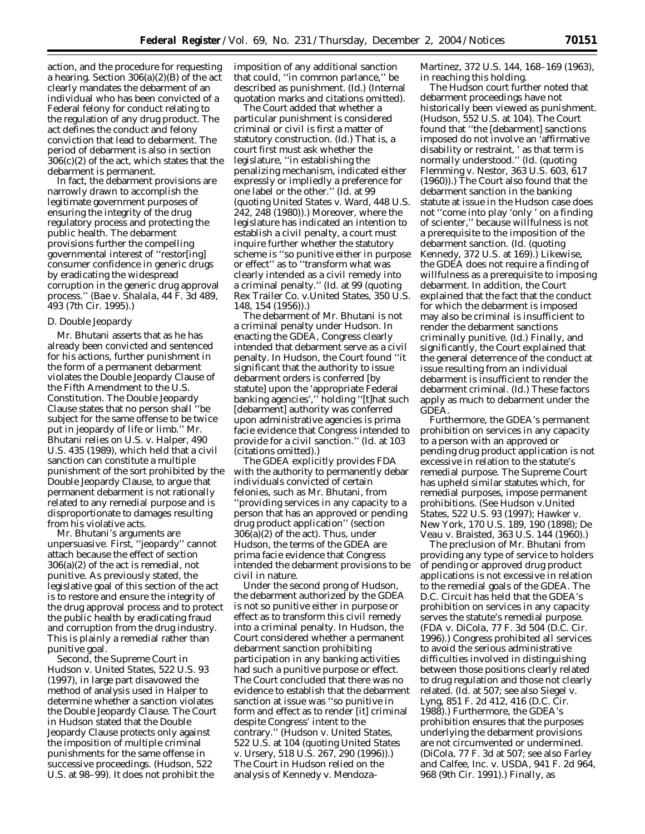action, and the procedure for requesting a hearing. Section  $306(a)(2)(B)$  of the act clearly mandates the debarment of an individual who has been convicted of a Federal felony for conduct relating to the regulation of any drug product. The act defines the conduct and felony conviction that lead to debarment. The period of debarment is also in section 306(c)(2) of the act, which states that the debarment is permanent.

In fact, the debarment provisions are narrowly drawn to accomplish the legitimate government purposes of ensuring the integrity of the drug regulatory process and protecting the public health. The debarment provisions further the compelling governmental interest of ''restor[ing] consumer confidence in generic drugs by eradicating the widespread corruption in the generic drug approval process.'' (*Bae* v. *Shalala*, 44 F. 3d 489, 493 (7th Cir. 1995).)

### *D. Double Jeopardy*

Mr. Bhutani asserts that as he has already been convicted and sentenced for his actions, further punishment in the form of a permanent debarment violates the Double Jeopardy Clause of the Fifth Amendment to the U.S. Constitution. The Double Jeopardy Clause states that no person shall ''be subject for the same offense to be twice put in jeopardy of life or limb.'' Mr. Bhutani relies on *U.S.* v. *Halper*, 490 U.S. 435 (1989), which held that a civil sanction can constitute a multiple punishment of the sort prohibited by the Double Jeopardy Clause, to argue that permanent debarment is not rationally related to any remedial purpose and is disproportionate to damages resulting from his violative acts.

Mr. Bhutani's arguments are unpersuasive. First, ''jeopardy'' cannot attach because the effect of section 306(a)(2) of the act is remedial, not punitive. As previously stated, the legislative goal of this section of the act is to restore and ensure the integrity of the drug approval process and to protect the public health by eradicating fraud and corruption from the drug industry. This is plainly a remedial rather than punitive goal.

Second, the Supreme Court in *Hudson* v. *United States*, 522 U.S. 93 (1997), in large part disavowed the method of analysis used in *Halper* to determine whether a sanction violates the Double Jeopardy Clause. The Court in *Hudson* stated that the Double Jeopardy Clause protects only against the imposition of multiple criminal punishments for the same offense in successive proceedings. (*Hudson*, 522 U.S. at 98–99). It does not prohibit the

imposition of any additional sanction that could, ''in common parlance,'' be described as punishment. (*Id*.) (Internal quotation marks and citations omitted).

The Court added that whether a particular punishment is considered criminal or civil is first a matter of statutory construction. (*Id*.) That is, a court first must ask whether the legislature, ''in establishing the penalizing mechanism, indicated either expressly or impliedly a preference for one label or the other.'' (*Id*. at 99 (quoting *United States* v. *Ward*, 448 U.S. 242, 248 (1980)).) Moreover, where the legislature has indicated an intention to establish a civil penalty, a court must inquire further whether the statutory scheme is ''so punitive either in purpose or effect'' as to ''transform what was clearly intended as a civil remedy into a criminal penalty.'' (*Id*. at 99 (quoting *Rex Trailer Co*. v.*United States*, 350 U.S. 148, 154 (1956)).)

The debarment of Mr. Bhutani is not a criminal penalty under *Hudson*. In enacting the GDEA, Congress clearly intended that debarment serve as a civil penalty. In *Hudson*, the Court found ''it significant that the authority to issue debarment orders is conferred [by statute] upon the 'appropriate Federal banking agencies','' holding ''[t]hat such [debarment] authority was conferred upon administrative agencies is prima facie evidence that Congress intended to provide for a civil sanction.'' (*Id*. at 103 (citations omitted).)

The GDEA explicitly provides FDA with the authority to permanently debar individuals convicted of certain felonies, such as Mr. Bhutani, from ''providing services in any capacity to a person that has an approved or pending drug product application'' (section 306(a)(2) of the act). Thus, under *Hudson*, the terms of the GDEA are prima facie evidence that Congress intended the debarment provisions to be civil in nature.

Under the second prong of *Hudson*, the debarment authorized by the GDEA is not so punitive either in purpose or effect as to transform this civil remedy into a criminal penalty. In *Hudson*, the Court considered whether a permanent debarment sanction prohibiting participation in any banking activities had such a punitive purpose or effect. The Court concluded that there was no evidence to establish that the debarment sanction at issue was ''so punitive in form and effect as to render [it] criminal despite Congress' intent to the contrary.'' (*Hudson* v. *United States*, 522 U.S. at 104 (quoting *United States* v. *Ursery*, 518 U.S. 267, 290 (1996)).) The Court in *Hudson* relied on the analysis of *Kennedy* v. *Mendoza-* *Martinez*, 372 U.S. 144, 168–169 (1963), in reaching this holding.

The *Hudson* court further noted that debarment proceedings have not historically been viewed as punishment. (*Hudson*, 552 U.S. at 104). The Court found that ''the [debarment] sanctions imposed do not involve an 'affirmative disability or restraint, ' as that term is normally understood.'' (*Id.* (quoting *Flemming* v. *Nestor*, 363 U.S. 603, 617 (1960)).) The Court also found that the debarment sanction in the banking statute at issue in the *Hudson* case does not ''come into play 'only ' on a finding of scienter,'' because willfulness is not a prerequisite to the imposition of the debarment sanction. (*Id*. (quoting *Kennedy*, 372 U.S. at 169).) Likewise, the GDEA does not require a finding of willfulness as a prerequisite to imposing debarment. In addition, the Court explained that the fact that the conduct for which the debarment is imposed may also be criminal is insufficient to render the debarment sanctions criminally punitive. (*Id*.) Finally, and significantly, the Court explained that the general deterrence of the conduct at issue resulting from an individual debarment is insufficient to render the debarment criminal. (*Id*.) These factors apply as much to debarment under the GDEA.

Furthermore, the GDEA's permanent prohibition on services in any capacity to a person with an approved or pending drug product application is not excessive in relation to the statute's remedial purpose. The Supreme Court has upheld similar statutes which, for remedial purposes, impose permanent prohibitions. (See *Hudson* v.*United States*, 522 U.S. 93 (1997); *Hawker* v. *New York*, 170 U.S. 189, 190 (1898); *De Veau* v. *Braisted*, 363 U.S. 144 (1960).)

The preclusion of Mr. Bhutani from providing any type of service to holders of pending or approved drug product applications is not excessive in relation to the remedial goals of the GDEA. The D.C. Circuit has held that the GDEA's prohibition on services in any capacity serves the statute's remedial purpose. (*FDA* v. *DiCola*, 77 F. 3d 504 (D.C. Cir. 1996).) Congress prohibited all services to avoid the serious administrative difficulties involved in distinguishing between those positions clearly related to drug regulation and those not clearly related. (*Id.* at 507; see also *Siegel* v. *Lyng*, 851 F. 2d 412, 416 (D.C. Cir. 1988).) Furthermore, the GDEA's prohibition ensures that the purposes underlying the debarment provisions are not circumvented or undermined. (*DiCola*, 77 F. 3d at 507; see also *Farley and Calfee, Inc*. v. *USDA*, 941 F. 2d 964, 968 (9th Cir. 1991).) Finally, as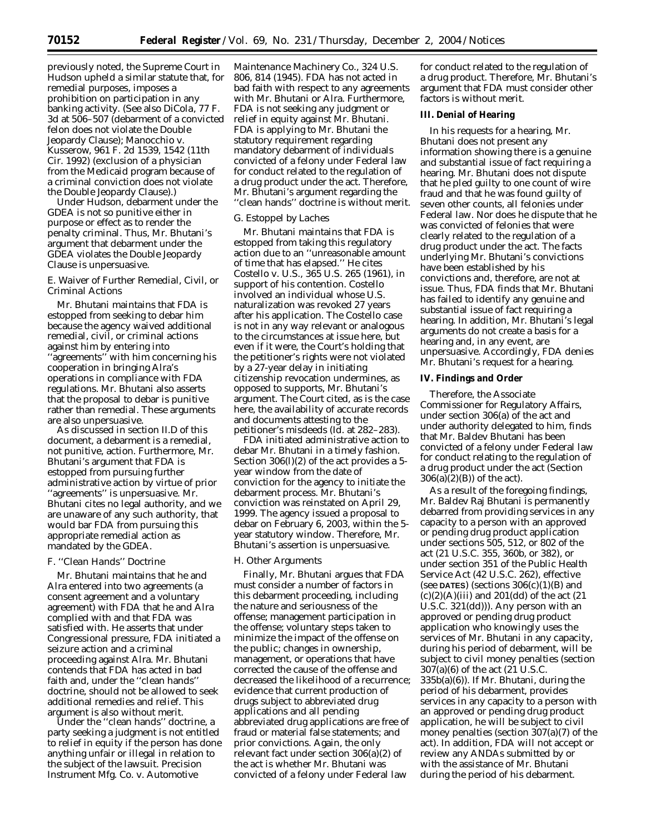previously noted, the Supreme Court in *Hudson* upheld a similar statute that, for remedial purposes, imposes a prohibition on participation in any banking activity. (See also *DiCola*, 77 F. 3d at 506–507 (debarment of a convicted felon does not violate the Double Jeopardy Clause); *Manocchio* v. *Kusserow*, 961 F. 2d 1539, 1542 (11th Cir. 1992) (exclusion of a physician from the Medicaid program because of a criminal conviction does not violate the Double Jeopardy Clause).)

Under *Hudson*, debarment under the GDEA is not so punitive either in purpose or effect as to render the penalty criminal. Thus, Mr. Bhutani's argument that debarment under the GDEA violates the Double Jeopardy Clause is unpersuasive.

# *E. Waiver of Further Remedial, Civil, or Criminal Actions*

Mr. Bhutani maintains that FDA is estopped from seeking to debar him because the agency waived additional remedial, civil, or criminal actions against him by entering into ''agreements'' with him concerning his cooperation in bringing Alra's operations in compliance with FDA regulations. Mr. Bhutani also asserts that the proposal to debar is punitive rather than remedial. These arguments are also unpersuasive.

As discussed in section II.D of this document, a debarment is a remedial, not punitive, action. Furthermore, Mr. Bhutani's argument that FDA is estopped from pursuing further administrative action by virtue of prior ''agreements'' is unpersuasive. Mr. Bhutani cites no legal authority, and we are unaware of any such authority, that would bar FDA from pursuing this appropriate remedial action as mandated by the GDEA.

# *F. ''Clean Hands'' Doctrine*

Mr. Bhutani maintains that he and Alra entered into two agreements (a consent agreement and a voluntary agreement) with FDA that he and Alra complied with and that FDA was satisfied with. He asserts that under Congressional pressure, FDA initiated a seizure action and a criminal proceeding against Alra. Mr. Bhutani contends that FDA has acted in bad faith and, under the ''clean hands'' doctrine, should not be allowed to seek additional remedies and relief. This argument is also without merit.

Under the ''clean hands'' doctrine, a party seeking a judgment is not entitled to relief in equity if the person has done anything unfair or illegal in relation to the subject of the lawsuit. *Precision Instrument Mfg. Co.* v. *Automotive* 

*Maintenance Machinery Co.*, 324 U.S. 806, 814 (1945). FDA has not acted in bad faith with respect to any agreements with Mr. Bhutani or Alra. Furthermore, FDA is not seeking any judgment or relief in equity against Mr. Bhutani. FDA is applying to Mr. Bhutani the statutory requirement regarding mandatory debarment of individuals convicted of a felony under Federal law for conduct related to the regulation of a drug product under the act. Therefore, Mr. Bhutani's argument regarding the ''clean hands'' doctrine is without merit.

### *G. Estoppel by Laches*

Mr. Bhutani maintains that FDA is estopped from taking this regulatory action due to an ''unreasonable amount of time that has elapsed.'' He cites *Costello* v. *U.S.*, 365 U.S. 265 (1961), in support of his contention. *Costello* involved an individual whose U.S. naturalization was revoked 27 years after his application. The *Costello* case is not in any way relevant or analogous to the circumstances at issue here, but even if it were, the Court's holding that the petitioner's rights were not violated by a 27-year delay in initiating citizenship revocation undermines, as opposed to supports, Mr. Bhutani's argument. The Court cited, as is the case here, the availability of accurate records and documents attesting to the petitioner's misdeeds (*Id*. at 282–283).

FDA initiated administrative action to debar Mr. Bhutani in a timely fashion. Section 306(l)(2) of the act provides a 5 year window from the date of conviction for the agency to initiate the debarment process. Mr. Bhutani's conviction was reinstated on April 29, 1999. The agency issued a proposal to debar on February 6, 2003, within the 5 year statutory window. Therefore, Mr. Bhutani's assertion is unpersuasive.

#### *H. Other Arguments*

Finally, Mr. Bhutani argues that FDA must consider a number of factors in this debarment proceeding, including the nature and seriousness of the offense; management participation in the offense; voluntary steps taken to minimize the impact of the offense on the public; changes in ownership, management, or operations that have corrected the cause of the offense and decreased the likelihood of a recurrence; evidence that current production of drugs subject to abbreviated drug applications and all pending abbreviated drug applications are free of fraud or material false statements; and prior convictions. Again, the only relevant fact under section 306(a)(2) of the act is whether Mr. Bhutani was convicted of a felony under Federal law

for conduct related to the regulation of a drug product. Therefore, Mr. Bhutani's argument that FDA must consider other factors is without merit.

### **III. Denial of Hearing**

In his requests for a hearing, Mr. Bhutani does not present any information showing there is a genuine and substantial issue of fact requiring a hearing. Mr. Bhutani does not dispute that he pled guilty to one count of wire fraud and that he was found guilty of seven other counts, all felonies under Federal law. Nor does he dispute that he was convicted of felonies that were clearly related to the regulation of a drug product under the act. The facts underlying Mr. Bhutani's convictions have been established by his convictions and, therefore, are not at issue. Thus, FDA finds that Mr. Bhutani has failed to identify any genuine and substantial issue of fact requiring a hearing. In addition, Mr. Bhutani's legal arguments do not create a basis for a hearing and, in any event, are unpersuasive. Accordingly, FDA denies Mr. Bhutani's request for a hearing.

### **IV. Findings and Order**

Therefore, the Associate Commissioner for Regulatory Affairs, under section 306(a) of the act and under authority delegated to him, finds that Mr. Baldev Bhutani has been convicted of a felony under Federal law for conduct relating to the regulation of a drug product under the act (Section  $306(a)(2)(B)$  of the act).

As a result of the foregoing findings, Mr. Baldev Raj Bhutani is permanently debarred from providing services in any capacity to a person with an approved or pending drug product application under sections 505, 512, or 802 of the act (21 U.S.C. 355, 360b, or 382), or under section 351 of the Public Health Service Act (42 U.S.C. 262), effective (see **DATES**) (sections  $306(c)(1)(B)$  and  $(c)(2)(A)(iii)$  and 201 $(dd)$  of the act  $(21)$ U.S.C. 321(dd))). Any person with an approved or pending drug product application who knowingly uses the services of Mr. Bhutani in any capacity, during his period of debarment, will be subject to civil money penalties (section 307(a)(6) of the act (21 U.S.C. 335b(a)(6)). If Mr. Bhutani, during the period of his debarment, provides services in any capacity to a person with an approved or pending drug product application, he will be subject to civil money penalties (section 307(a)(7) of the act). In addition, FDA will not accept or review any ANDAs submitted by or with the assistance of Mr. Bhutani during the period of his debarment.